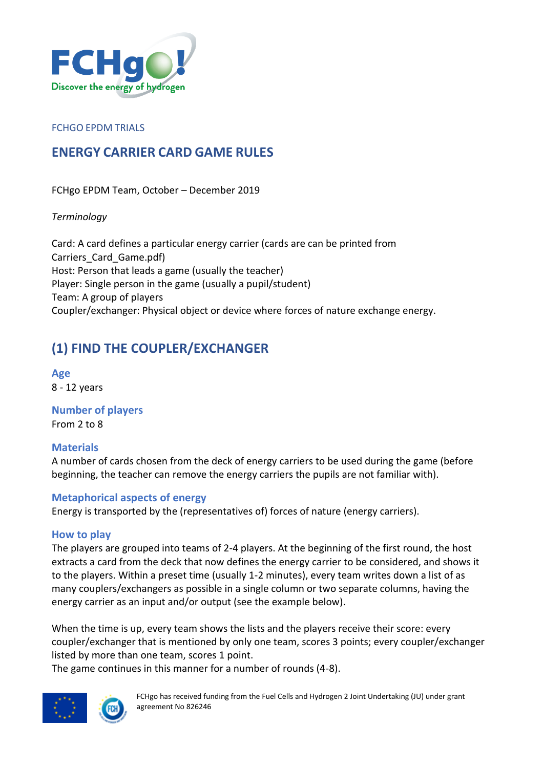

#### FCHGO EPDM TRIALS

## **ENERGY CARRIER CARD GAME RULES**

FCHgo EPDM Team, October – December 2019

*Terminology*

Card: A card defines a particular energy carrier (cards are can be printed from Carriers\_Card\_Game.pdf) Host: Person that leads a game (usually the teacher) Player: Single person in the game (usually a pupil/student) Team: A group of players Coupler/exchanger: Physical object or device where forces of nature exchange energy.

## **(1) FIND THE COUPLER/EXCHANGER**

**Age** 8 - 12 years

**Number of players** From 2 to 8

## **Materials**

A number of cards chosen from the deck of energy carriers to be used during the game (before beginning, the teacher can remove the energy carriers the pupils are not familiar with).

## **Metaphorical aspects of energy**

Energy is transported by the (representatives of) forces of nature (energy carriers).

## **How to play**

The players are grouped into teams of 2-4 players. At the beginning of the first round, the host extracts a card from the deck that now defines the energy carrier to be considered, and shows it to the players. Within a preset time (usually 1-2 minutes), every team writes down a list of as many couplers/exchangers as possible in a single column or two separate columns, having the energy carrier as an input and/or output (see the example below).

When the time is up, every team shows the lists and the players receive their score: every coupler/exchanger that is mentioned by only one team, scores 3 points; every coupler/exchanger listed by more than one team, scores 1 point.

The game continues in this manner for a number of rounds (4-8).



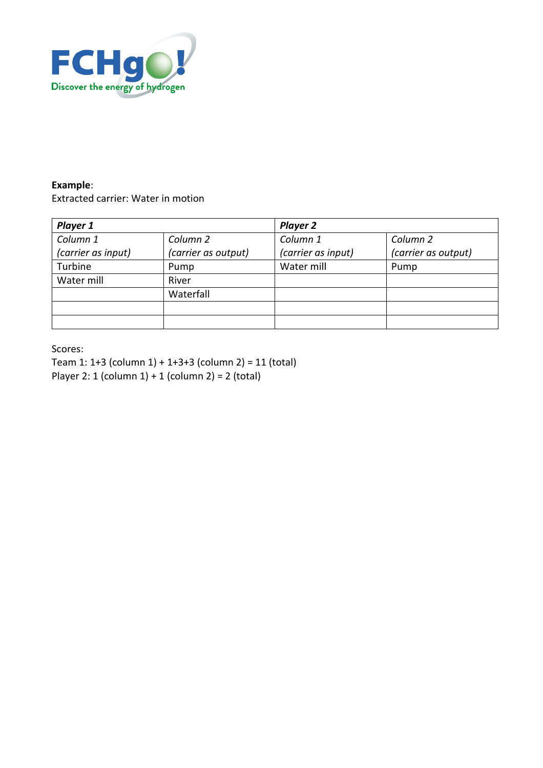

#### **Example**:

Extracted carrier: Water in motion

| Player 1           |                     | <b>Player 2</b>    |                     |
|--------------------|---------------------|--------------------|---------------------|
| Column 1           | Column <sub>2</sub> | Column 1           | Column <sub>2</sub> |
| (carrier as input) | (carrier as output) | (carrier as input) | (carrier as output) |
| Turbine            | Pump                | Water mill         | Pump                |
| Water mill         | River               |                    |                     |
|                    | Waterfall           |                    |                     |
|                    |                     |                    |                     |
|                    |                     |                    |                     |

Scores:

Team 1: 1+3 (column 1) + 1+3+3 (column 2) = 11 (total) Player 2: 1 (column 1) + 1 (column 2) = 2 (total)